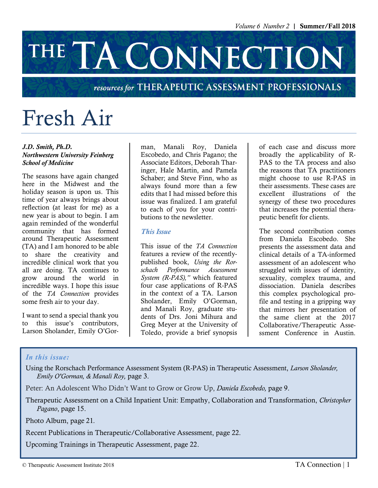# THE TA CONNECTION

#### resources for THERAPEUTIC ASSESSMENT PROFESSIONALS

# Fresh Air

#### *J.D. Smith, Ph.D. Northwestern University Feinberg School of Medicine*

The seasons have again changed here in the Midwest and the holiday season is upon us. This time of year always brings about reflection (at least for me) as a new year is about to begin. I am again reminded of the wonderful community that has formed around Therapeutic Assessment (TA) and I am honored to be able to share the creativity and incredible clinical work that you all are doing. TA continues to grow around the world in incredible ways. I hope this issue of the *TA Connection* provides some fresh air to your day.

I want to send a special thank you to this issue's contributors, Larson Sholander, Emily O'Gorman, Manali Roy, Daniela Escobedo, and Chris Pagano; the Associate Editors, Deborah Tharinger, Hale Martin, and Pamela Schaber; and Steve Finn, who as always found more than a few edits that I had missed before this issue was finalized. I am grateful to each of you for your contributions to the newsletter.

#### *This Issue*

This issue of the *TA Connection*  features a review of the recentlypublished book, *Using the Rorschach Performance Assessment System (R-PAS),"* which featured four case applications of R-PAS in the context of a TA. Larson Sholander, Emily O'Gorman, and Manali Roy, graduate students of Drs. Joni Mihura and Greg Meyer at the University of Toledo, provide a brief synopsis

of each case and discuss more broadly the applicability of R-PAS to the TA process and also the reasons that TA practitioners might choose to use R-PAS in their assessments. These cases are excellent illustrations of the synergy of these two procedures that increases the potential therapeutic benefit for clients.

The second contribution comes from Daniela Escobedo. She presents the assessment data and clinical details of a TA-informed assessment of an adolescent who struggled with issues of identity, sexuality, complex trauma, and dissociation. Daniela describes this complex psychological profile and testing in a gripping way that mirrors her presentation of the same client at the 2017 Collaborative/Therapeutic Assessment Conference in Austin.

#### *In this issue:*

Using the Rorschach Performance Assessment System (R-PAS) in Therapeutic Assessment, *Larson Sholander, Emily O'Gorman, & Manali Roy,* page 3.

Peter: An Adolescent Who Didn't Want to Grow or Grow Up, *Daniela Escobedo,* page 9.

Therapeutic Assessment on a Child Inpatient Unit: Empathy, Collaboration and Transformation, *Christopher Pagano*, page 15.

Photo Album, page 21*.*

Recent Publications in Therapeutic/Collaborative Assessment, page 22.

Upcoming Trainings in Therapeutic Assessment, page 22.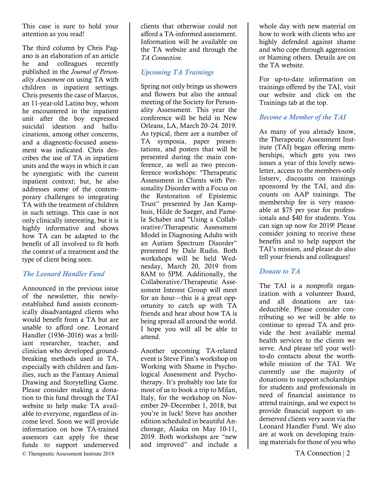This case is sure to hold your attention as you read!

The third column by Chris Pagano is an elaboration of an article he and colleagues recently published in the *Journal of Personality Assessment* on using TA with children in inpatient settings. Chris presents the case of Marcos, an 11-year-old Latino boy, whom he encountered in the inpatient unit after the boy expressed suicidal ideation and hallucinations, among other concerns, and a diagnostic-focused assessment was indicated. Chris describes the use of TA in inpatient units and the ways in which it can be synergistic with the current inpatient context; but, he also addresses some of the contemporary challenges to integrating TA with the treatment of children in such settings. This case is not only clinically interesting, but it is highly informative and shows how TA can be adapted to the benefit of all involved to fit both the context of a treatment and the type of client being seen.

#### *The Leonard Handler Fund*

© Therapeutic Assessment Institute 2018 TA Connection | 2 Announced in the previous issue of the newsletter, this newlyestablished fund assists economically disadvantaged clients who would benefit from a TA but are unable to afford one. Leonard Handler (1936–2016) was a brilliant researcher, teacher, and clinician who developed groundbreaking methods used in TA, especially with children and families, such as the Fantasy Animal Drawing and Storytelling Game. Please consider making a donation to this fund through the TAI website to help make TA available to everyone, regardless of income level. Soon we will provide information on how TA-trained assessors can apply for these funds to support underserved

clients that otherwise could not afford a TA-informed assessment. Information will be available on the TA website and through the *TA Connection.*

#### *Upcoming TA Trainings*

Spring not only brings us showers and flowers but also the annual meeting of the Society for Personality Assessment. This year the conference will be held in New Orleans, LA, March 20–24. 2019. As typical, there are a number of TA symposia, paper presentations, and posters that will be presented during the main conference, as well as two preconference workshops: "Therapeutic Assessment in Clients with Personality Disorder with a Focus on the Restoration of Epistemic Trust" presented by Jan Kamphuis, Hilde de Saeger, and Pamela Schaber and "Using a Collaborative/Therapeutic Assessment Model in Diagnosing Adults with an Autism Spectrum Disorder" presented by Dale Rudin. Both workshops will be held Wednesday, March 20, 2019 from 8AM to 5PM. Additionally, the Collaborative/Therapeutic Assessment Interest Group will meet for an hour—this is a great opportunity to catch up with TA friends and hear about how TA is being spread all around the world. I hope you will all be able to attend.

Another upcoming TA-related event is Steve Finn's workshop on Working with Shame in Psychological Assessment and Psychotherapy. It's probably too late for most of us to book a trip to Milan, Italy, for the workshop on November 29–December 1, 2018, but you're in luck! Steve has another edition scheduled in beautiful Anchorage, Alaska on May 10-11, 2019. Both workshops are "new and improved" and include a

whole day with new material on how to work with clients who are highly defended against shame and who cope through aggression or blaming others. Details are on the TA website.

For up-to-date information on trainings offered by the TAI, visit our website and click on the Trainings tab at the top.

#### *Become a Member of the TAI*

As many of you already know, the Therapeutic Assessment Institute (TAI) began offering memberships, which gets you two issues a year of this lovely newsletter, access to the members-only listserv, discounts on trainings sponsored by the TAI, and discounts on AAP trainings. The membership fee is very reasonable at \$75 per year for professionals and \$40 for students. You can sign up now for 2019! Please consider joining to receive these benefits and to help support the TAI's mission, and please do also tell your friends and colleagues!

#### *Donate to TA*

The TAI is a nonprofit organization with a volunteer Board, and all donations are taxdeductible. Please consider contributing so we will be able to continue to spread TA and provide the best available mental health services to the clients we serve. And please tell your wellto-do contacts about the worthwhile mission of the TAI. We currently use the majority of donations to support scholarships for students and professionals in need of financial assistance to attend trainings, and we expect to provide financial support to underserved clients very soon via the Leonard Handler Fund. We also are at work on developing training materials for those of you who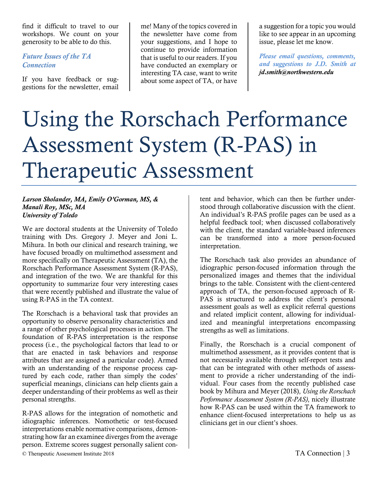find it difficult to travel to our workshops. We count on your generosity to be able to do this.

#### *Future Issues of the TA Connection*

If you have feedback or suggestions for the newsletter, email

me! Many of the topics covered in the newsletter have come from your suggestions, and I hope to continue to provide information that is useful to our readers. If you have conducted an exemplary or interesting TA case, want to write about some aspect of TA, or have

a suggestion for a topic you would like to see appear in an upcoming issue, please let me know.

*Please email questions, comments, and suggestions to J.D. Smith at jd.smith@northwestern.edu*

# Using the Rorschach Performance Assessment System (R-PAS) in Therapeutic Assessment

#### *Larson Sholander, MA, Emily O'Gorman, MS, & Manali Roy, MSc, MA University of Toledo*

We are doctoral students at the University of Toledo training with Drs. Gregory J. Meyer and Joni L. Mihura. In both our clinical and research training, we have focused broadly on multimethod assessment and more specifically on Therapeutic Assessment (TA), the Rorschach Performance Assessment System (R-PAS), and integration of the two. We are thankful for this opportunity to summarize four very interesting cases that were recently published and illustrate the value of using R-PAS in the TA context.

The Rorschach is a behavioral task that provides an opportunity to observe personality characteristics and a range of other psychological processes in action. The foundation of R-PAS interpretation is the response process (i.e., the psychological factors that lead to or that are enacted in task behaviors and response attributes that are assigned a particular code). Armed with an understanding of the response process captured by each code, rather than simply the codes' superficial meanings, clinicians can help clients gain a deeper understanding of their problems as well as their personal strengths.

R-PAS allows for the integration of nomothetic and idiographic inferences. Nomothetic or test-focused interpretations enable normative comparisons, demonstrating how far an examinee diverges from the average person. Extreme scores suggest personally salient con-

tent and behavior, which can then be further understood through collaborative discussion with the client. An individual's R-PAS profile pages can be used as a helpful feedback tool; when discussed collaboratively with the client, the standard variable-based inferences can be transformed into a more person-focused interpretation.

The Rorschach task also provides an abundance of idiographic person-focused information through the personalized images and themes that the individual brings to the table. Consistent with the client-centered approach of TA, the person-focused approach of R-PAS is structured to address the client's personal assessment goals as well as explicit referral questions and related implicit content, allowing for individualized and meaningful interpretations encompassing strengths as well as limitations.

Finally, the Rorschach is a crucial component of multimethod assessment, as it provides content that is not necessarily available through self-report tests and that can be integrated with other methods of assessment to provide a richer understanding of the individual. Four cases from the recently published case book by Mihura and Meyer (2018), *Using the Rorschach Performance Assessment System (R-PAS)*, nicely illustrate how R-PAS can be used within the TA framework to enhance client-focused interpretations to help us as clinicians get in our client's shoes.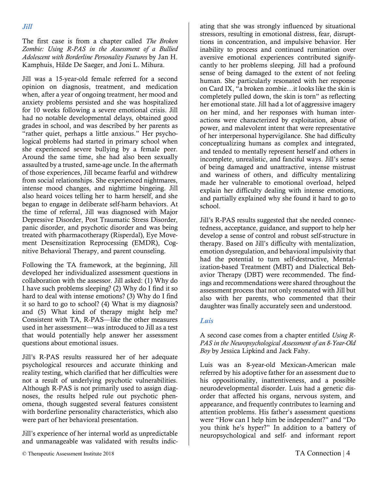The first case is from a chapter called *The Broken Zombie: Using R-PAS in the Assessment of a Bullied Adolescent with Borderline Personality Features* by Jan H. Kamphuis, Hilde De Saeger, and Joni L. Mihura.

Jill was a 15-year-old female referred for a second opinion on diagnosis, treatment, and medication when, after a year of ongoing treatment, her mood and anxiety problems persisted and she was hospitalized for 10 weeks following a severe emotional crisis. Jill had no notable developmental delays, obtained good grades in school, and was described by her parents as "rather quiet, perhaps a little anxious." Her psychological problems had started in primary school when she experienced severe bullying by a female peer. Around the same time, she had also been sexually assaulted by a trusted, same-age uncle. In the aftermath of those experiences, Jill became fearful and withdrew from social relationships. She experienced nightmares, intense mood changes, and nighttime bingeing. Jill also heard voices telling her to harm herself, and she began to engage in deliberate self-harm behaviors. At the time of referral, Jill was diagnosed with Major Depressive Disorder, Post Traumatic Stress Disorder, panic disorder, and psychotic disorder and was being treated with pharmacotherapy (Risperdal), Eye Movement Desensitization Reprocessing (EMDR), Cognitive Behavioral Therapy, and parent counseling.

Following the TA framework, at the beginning, Jill developed her individualized assessment questions in collaboration with the assessor. Jill asked: (1) Why do I have such problems sleeping? (2) Why do I find it so hard to deal with intense emotions? (3) Why do I find it so hard to go to school? (4) What is my diagnosis? and (5) What kind of therapy might help me? Consistent with TA, R-PAS—like the other measures used in her assessment—was introduced to Jill as a test that would potentially help answer her assessment questions about emotional issues.

Jill's R-PAS results reassured her of her adequate psychological resources and accurate thinking and reality testing, which clarified that her difficulties were not a result of underlying psychotic vulnerabilities. Although R-PAS is not primarily used to assign diagnoses, the results helped rule out psychotic phenomena, though suggested several features consistent with borderline personality characteristics, which also were part of her behavioral presentation.

Jill's experience of her internal world as unpredictable and unmanageable was validated with results indicating that she was strongly influenced by situational stressors, resulting in emotional distress, fear, disrupttions in concentration, and impulsive behavior. Her inability to process and continued rumination over aversive emotional experiences contributed signifycantly to her problems sleeping. Jill had a profound sense of being damaged to the extent of not feeling human. She particularly resonated with her response on Card IX, "a broken zombie…it looks like the skin is completely pulled down, the skin is torn" as reflecting her emotional state. Jill had a lot of aggressive imagery on her mind, and her responses with human interactions were characterized by exploitation, abuse of power, and malevolent intent that were representative of her interpersonal hypervigilance. She had difficulty conceptualizing humans as complex and integrated, and tended to mentally represent herself and others in incomplete, unrealistic, and fanciful ways. Jill's sense of being damaged and unattractive, intense mistrust and wariness of others, and difficulty mentalizing made her vulnerable to emotional overload, helped explain her difficulty dealing with intense emotions, and partially explained why she found it hard to go to school.

Jill's R-PAS results suggested that she needed connectedness, acceptance, guidance, and support to help her develop a sense of control and robust self-structure in therapy. Based on Jill's difficulty with mentalization, emotion dysregulation, and behavioral impulsivity that had the potential to turn self-destructive, Mentalization-based Treatment (MBT) and Dialectical Behavior Therapy (DBT) were recommended. The findings and recommendations were shared throughout the assessment process that not only resonated with Jill but also with her parents, who commented that their daughter was finally accurately seen and understood.

#### *Luis*

A second case comes from a chapter entitled *Using R-PAS in the Neuropsychological Assessment of an 8-Year-Old Boy* by Jessica Lipkind and Jack Fahy.

Luis was an 8-year-old Mexican-American male referred by his adoptive father for an assessment due to his oppositionality, inattentiveness, and a possible neurodevelopmental disorder. Luis had a genetic disorder that affected his organs, nervous system, and appearance, and frequently contributes to learning and attention problems. His father's assessment questions were "How can I help him be independent?" and "Do you think he's hyper?" In addition to a battery of neuropsychological and self- and informant report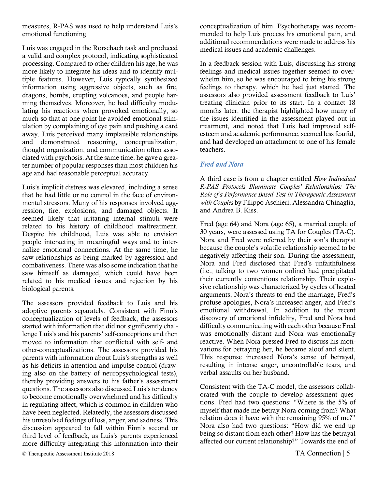measures, R-PAS was used to help understand Luis's emotional functioning.

Luis was engaged in the Rorschach task and produced a valid and complex protocol, indicating sophisticated processing. Compared to other children his age, he was more likely to integrate his ideas and to identify multiple features. However, Luis typically synthesized information using aggressive objects, such as fire, dragons, bombs, erupting volcanoes, and people harming themselves. Moreover, he had difficulty modulating his reactions when provoked emotionally, so much so that at one point he avoided emotional stimulation by complaining of eye pain and pushing a card away. Luis perceived many implausible relationships and demonstrated reasoning, conceptualization, thought organization, and communication often associated with psychosis. At the same time, he gave a greater number of popular responses than most children his age and had reasonable perceptual accuracy.

Luis's implicit distress was elevated, including a sense that he had little or no control in the face of environmental stressors. Many of his responses involved aggression, fire, explosions, and damaged objects. It seemed likely that irritating internal stimuli were related to his history of childhood maltreatment. Despite his childhood, Luis was able to envision people interacting in meaningful ways and to internalize emotional connections. At the same time, he saw relationships as being marked by aggression and combativeness. There was also some indication that he saw himself as damaged, which could have been related to his medical issues and rejection by his biological parents.

The assessors provided feedback to Luis and his adoptive parents separately. Consistent with Finn's conceptualization of levels of feedback, the assessors started with information that did not significantly challenge Luis's and his parents' self-conceptions and then moved to information that conflicted with self- and other-conceptualizations. The assessors provided his parents with information about Luis's strengths as well as his deficits in attention and impulse control (drawing also on the battery of neuropsychological tests), thereby providing answers to his father's assessment questions. The assessors also discussed Luis's tendency to become emotionally overwhelmed and his difficulty in regulating affect, which is common in children who have been neglected. Relatedly, the assessors discussed his unresolved feelings of loss, anger, and sadness. This discussion appeared to fall within Finn's second or third level of feedback, as Luis's parents experienced more difficulty integrating this information into their

conceptualization of him. Psychotherapy was recommended to help Luis process his emotional pain, and additional recommendations were made to address his medical issues and academic challenges.

In a feedback session with Luis, discussing his strong feelings and medical issues together seemed to overwhelm him, so he was encouraged to bring his strong feelings to therapy, which he had just started. The assessors also provided assessment feedback to Luis' treating clinician prior to its start. In a contact 18 months later, the therapist highlighted how many of the issues identified in the assessment played out in treatment, and noted that Luis had improved selfesteem and academic performance, seemed less fearful, and had developed an attachment to one of his female teachers.

#### *Fred and Nora*

A third case is from a chapter entitled *How Individual R-PAS Protocols Illuminate Couples' Relationships: The Role of a Performance Based Test in Therapeutic Assessment with Couples* by Filippo Aschieri, Alessandra Chinaglia, and Andrea B. Kiss.

Fred (age 64) and Nora (age 65), a married couple of 30 years, were assessed using TA for Couples (TA-C). Nora and Fred were referred by their son's therapist because the couple's volatile relationship seemed to be negatively affecting their son. During the assessment, Nora and Fred disclosed that Fred's unfaithfulness (i.e., talking to two women online) had precipitated their currently contentious relationship. Their explosive relationship was characterized by cycles of heated arguments, Nora's threats to end the marriage, Fred's profuse apologies, Nora's increased anger, and Fred's emotional withdrawal. In addition to the recent discovery of emotional infidelity, Fred and Nora had difficulty communicating with each other because Fred was emotionally distant and Nora was emotionally reactive. When Nora pressed Fred to discuss his motivations for betraying her, he became aloof and silent. This response increased Nora's sense of betrayal, resulting in intense anger, uncontrollable tears, and verbal assaults on her husband.

Consistent with the TA-C model, the assessors collaborated with the couple to develop assessment questions. Fred had two questions: "Where is the 5% of myself that made me betray Nora coming from? What relation does it have with the remaining 95% of me?" Nora also had two questions: "How did we end up being so distant from each other? How has the betrayal affected our current relationship?" Towards the end of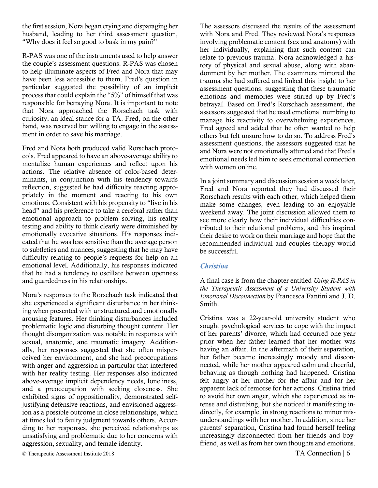the first session, Nora began crying and disparaging her husband, leading to her third assessment question, "Why does it feel so good to bask in my pain?"

R-PAS was one of the instruments used to help answer the couple's assessment questions. R-PAS was chosen to help illuminate aspects of Fred and Nora that may have been less accessible to them. Fred's question in particular suggested the possibility of an implicit process that could explain the "5%" of himself that was responsible for betraying Nora. It is important to note that Nora approached the Rorschach task with curiosity, an ideal stance for a TA. Fred, on the other hand, was reserved but willing to engage in the assessment in order to save his marriage.

Fred and Nora both produced valid Rorschach protocols. Fred appeared to have an above-average ability to mentalize human experiences and reflect upon his actions. The relative absence of color-based determinants, in conjunction with his tendency towards reflection, suggested he had difficulty reacting appropriately in the moment and reacting to his own emotions. Consistent with his propensity to "live in his head" and his preference to take a cerebral rather than emotional approach to problem solving, his reality testing and ability to think clearly were diminished by emotionally evocative situations. His responses indicated that he was less sensitive than the average person to subtleties and nuances, suggesting that he may have difficulty relating to people's requests for help on an emotional level. Additionally, his responses indicated that he had a tendency to oscillate between openness and guardedness in his relationships.

Nora's responses to the Rorschach task indicated that she experienced a significant disturbance in her thinking when presented with unstructured and emotionally arousing features. Her thinking disturbances included problematic logic and disturbing thought content. Her thought disorganization was notable in responses with sexual, anatomic, and traumatic imagery. Additionally, her responses suggested that she often misperceived her environment, and she had preoccupations with anger and aggression in particular that interfered with her reality testing. Her responses also indicated above-average implicit dependency needs, loneliness, and a preoccupation with seeking closeness. She exhibited signs of oppositionality, demonstrated selfjustifying defensive reactions, and envisioned aggression as a possible outcome in close relationships, which at times led to faulty judgment towards others. According to her responses, she perceived relationships as unsatisfying and problematic due to her concerns with aggression, sexuality, and female identity.

The assessors discussed the results of the assessment with Nora and Fred. They reviewed Nora's responses involving problematic content (sex and anatomy) with her individually, explaining that such content can relate to previous trauma. Nora acknowledged a history of physical and sexual abuse, along with abandonment by her mother. The examiners mirrored the trauma she had suffered and linked this insight to her assessment questions, suggesting that these traumatic emotions and memories were stirred up by Fred's betrayal. Based on Fred's Rorschach assessment, the assessors suggested that he used emotional numbing to manage his reactivity to overwhelming experiences. Fred agreed and added that he often wanted to help others but felt unsure how to do so. To address Fred's assessment questions, the assessors suggested that he and Nora were not emotionally attuned and that Fred's emotional needs led him to seek emotional connection with women online.

In a joint summary and discussion session a week later, Fred and Nora reported they had discussed their Rorschach results with each other, which helped them make some changes, even leading to an enjoyable weekend away. The joint discussion allowed them to see more clearly how their individual difficulties contributed to their relational problems, and this inspired their desire to work on their marriage and hope that the recommended individual and couples therapy would be successful.

#### *Christina*

A final case is from the chapter entitled *Using R-PAS in the Therapeutic Assessment of a University Student with Emotional Disconnection* by Francesca Fantini and J. D. Smith.

Cristina was a 22-year-old university student who sought psychological services to cope with the impact of her parents' divorce, which had occurred one year prior when her father learned that her mother was having an affair. In the aftermath of their separation, her father became increasingly moody and disconnected, while her mother appeared calm and cheerful, behaving as though nothing had happened. Cristina felt angry at her mother for the affair and for her apparent lack of remorse for her actions. Cristina tried to avoid her own anger, which she experienced as intense and disturbing, but she noticed it manifesting indirectly, for example, in strong reactions to minor misunderstandings with her mother. In addition, since her parents' separation, Cristina had found herself feeling increasingly disconnected from her friends and boyfriend, as well as from her own thoughts and emotions.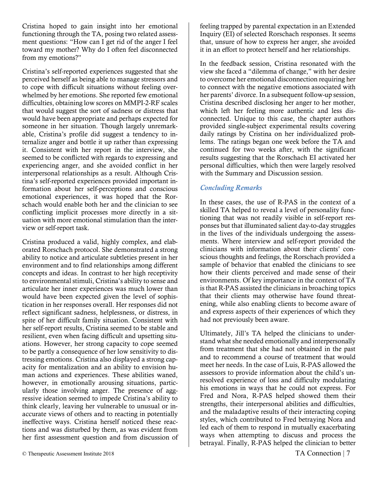Cristina hoped to gain insight into her emotional functioning through the TA, posing two related assessment questions: "How can I get rid of the anger I feel toward my mother? Why do I often feel disconnected from my emotions?"

Cristina's self-reported experiences suggested that she perceived herself as being able to manage stressors and to cope with difficult situations without feeling overwhelmed by her emotions. She reported few emotional difficulties, obtaining low scores on MMPI-2-RF scales that would suggest the sort of sadness or distress that would have been appropriate and perhaps expected for someone in her situation. Though largely unremarkable, Cristina's profile did suggest a tendency to internalize anger and bottle it up rather than expressing it. Consistent with her report in the interview, she seemed to be conflicted with regards to expressing and experiencing anger, and she avoided conflict in her interpersonal relationships as a result. Although Cristina's self-reported experiences provided important information about her self-perceptions and conscious emotional experiences, it was hoped that the Rorschach would enable both her and the clinician to see conflicting implicit processes more directly in a situation with more emotional stimulation than the interview or self-report task.

Cristina produced a valid, highly complex, and elaborated Rorschach protocol. She demonstrated a strong ability to notice and articulate subtleties present in her environment and to find relationships among different concepts and ideas. In contrast to her high receptivity to environmental stimuli, Cristina's ability to sense and articulate her inner experiences was much lower than would have been expected given the level of sophistication in her responses overall. Her responses did not reflect significant sadness, helplessness, or distress, in spite of her difficult family situation. Consistent with her self-report results, Cristina seemed to be stable and resilient, even when facing difficult and upsetting situations. However, her strong capacity to cope seemed to be partly a consequence of her low sensitivity to distressing emotions. Cristina also displayed a strong capacity for mentalization and an ability to envision human actions and experiences. These abilities waned, however, in emotionally arousing situations, particularly those involving anger. The presence of aggressive ideation seemed to impede Cristina's ability to think clearly, leaving her vulnerable to unusual or inaccurate views of others and to reacting in potentially ineffective ways. Cristina herself noticed these reactions and was disturbed by them, as was evident from her first assessment question and from discussion of feeling trapped by parental expectation in an Extended Inquiry (EI) of selected Rorschach responses. It seems that, unsure of how to express her anger, she avoided it in an effort to protect herself and her relationships.

In the feedback session, Cristina resonated with the view she faced a "dilemma of change," with her desire to overcome her emotional disconnection requiring her to connect with the negative emotions associated with her parents' divorce. In a subsequent follow-up session, Cristina described disclosing her anger to her mother, which left her feeling more authentic and less disconnected. Unique to this case, the chapter authors provided single-subject experimental results covering daily ratings by Cristina on her individualized problems. The ratings began one week before the TA and continued for two weeks after, with the significant results suggesting that the Rorschach EI activated her personal difficulties, which then were largely resolved with the Summary and Discussion session.

#### *Concluding Remarks*

In these cases, the use of R-PAS in the context of a skilled TA helped to reveal a level of personality functioning that was not readily visible in self-report responses but that illuminated salient day-to-day struggles in the lives of the individuals undergoing the assessments. Where interview and self-report provided the clinicians with information about their clients' conscious thoughts and feelings, the Rorschach provided a sample of behavior that enabled the clinicians to see how their clients perceived and made sense of their environments. Of key importance in the context of TA is that R-PAS assisted the clinicians in broaching topics that their clients may otherwise have found threatening, while also enabling clients to become aware of and express aspects of their experiences of which they had not previously been aware.

Ultimately, Jill's TA helped the clinicians to understand what she needed emotionally and interpersonally from treatment that she had not obtained in the past and to recommend a course of treatment that would meet her needs. In the case of Luis, R-PAS allowed the assessors to provide information about the child's unresolved experience of loss and difficulty modulating his emotions in ways that he could not express. For Fred and Nora, R-PAS helped showed them their strengths, their interpersonal abilities and difficulties, and the maladaptive results of their interacting coping styles, which contributed to Fred betraying Nora and led each of them to respond in mutually exacerbating ways when attempting to discuss and process the betrayal. Finally, R-PAS helped the clinician to better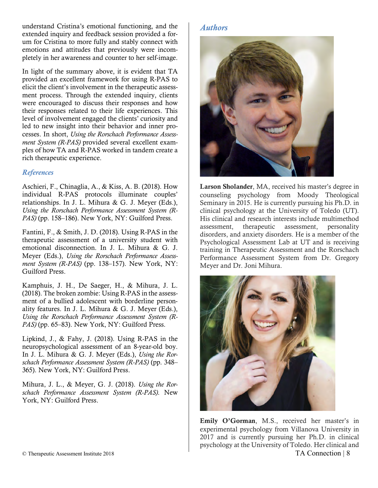understand Cristina's emotional functioning, and the extended inquiry and feedback session provided a forum for Cristina to more fully and stably connect with emotions and attitudes that previously were incompletely in her awareness and counter to her self-image.

In light of the summary above, it is evident that TA provided an excellent framework for using R-PAS to elicit the client's involvement in the therapeutic assessment process. Through the extended inquiry, clients were encouraged to discuss their responses and how their responses related to their life experiences. This level of involvement engaged the clients' curiosity and led to new insight into their behavior and inner processes. In short, *Using the Rorschach Performance Assessment System (R-PAS)* provided several excellent examples of how TA and R-PAS worked in tandem create a rich therapeutic experience.

#### *References*

Aschieri, F., Chinaglia, A., & Kiss, A. B. (2018). How individual R-PAS protocols illuminate couples' relationships. In J. L. Mihura & G. J. Meyer (Eds.), *Using the Rorschach Performance Assessment System (R-PAS)* (pp. 158–186). New York, NY: Guilford Press.

Fantini, F., & Smith, J. D. (2018). Using R-PAS in the therapeutic assessment of a university student with emotional disconnection. In J. L. Mihura & G. J. Meyer (Eds.), *Using the Rorschach Performance Assessment System (R-PAS)* (pp. 138–157). New York, NY: Guilford Press.

Kamphuis, J. H., De Saeger, H., & Mihura, J. L. (2018). The broken zombie: Using R-PAS in the assessment of a bullied adolescent with borderline personality features. In J. L. Mihura & G. J. Meyer (Eds.), *Using the Rorschach Performance Assessment System (R-PAS)* (pp. 65–83). New York, NY: Guilford Press.

Lipkind, J., & Fahy, J. (2018). Using R-PAS in the neuropsychological assessment of an 8-year-old boy. In J. L. Mihura & G. J. Meyer (Eds.), *Using the Rorschach Performance Assessment System (R-PAS)* (pp. 348– 365). New York, NY: Guilford Press.

Mihura, J. L., & Meyer, G. J. (2018). *Using the Rorschach Performance Assessment System (R-PAS)*. New York, NY: Guilford Press.

#### *Authors*



Larson Sholander, MA, received his master's degree in counseling psychology from Moody Theological Seminary in 2015. He is currently pursuing his Ph.D. in clinical psychology at the University of Toledo (UT). His clinical and research interests include multimethod assessment, therapeutic assessment, personality disorders, and anxiety disorders. He is a member of the Psychological Assessment Lab at UT and is receiving training in Therapeutic Assessment and the Rorschach Performance Assessment System from Dr. Gregory Meyer and Dr. Joni Mihura.



© Therapeutic Assessment Institute 2018 TA Connection | 8 Emily O'Gorman, M.S., received her master's in experimental psychology from Villanova University in 2017 and is currently pursuing her Ph.D. in clinical psychology at the University of Toledo. Her clinical and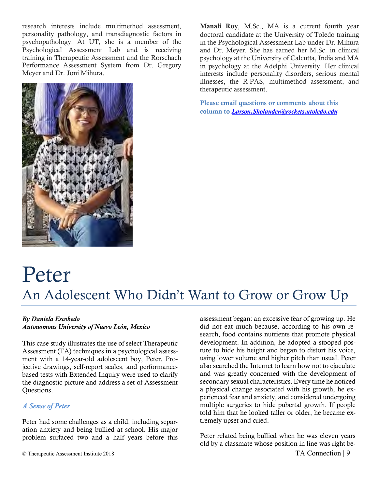research interests include multimethod assessment, personality pathology, and transdiagnostic factors in psychopathology. At UT, she is a member of the Psychological Assessment Lab and is receiving training in Therapeutic Assessment and the Rorschach Performance Assessment System from Dr. Gregory Meyer and Dr. Joni Mihura.



Manali Roy, M.Sc., MA is a current fourth year doctoral candidate at the University of Toledo training in the Psychological Assessment Lab under Dr. Mihura and Dr. Meyer. She has earned her M.Sc. in clinical psychology at the University of Calcutta, India and MA in psychology at the Adelphi University. Her clinical interests include personality disorders, serious mental illnesses, the R-PAS, multimethod assessment, and therapeutic assessment.

Please email questions or comments about this column to *Larson.Sholander@rockets.utoledo.edu*

## Peter An Adolescent Who Didn't Want to Grow or Grow Up

#### *By Daniela Escobedo*

*Autonomous University of Nuevo León, Mexico*

This case study illustrates the use of select Therapeutic Assessment (TA) techniques in a psychological assessment with a 14-year-old adolescent boy, Peter. Projective drawings, self-report scales, and performancebased tests with Extended Inquiry were used to clarify the diagnostic picture and address a set of Assessment Questions.

#### *A Sense of Peter*

Peter had some challenges as a child, including separation anxiety and being bullied at school. His major problem surfaced two and a half years before this

assessment began: an excessive fear of growing up. He did not eat much because, according to his own research, food contains nutrients that promote physical development. In addition, he adopted a stooped posture to hide his height and began to distort his voice, using lower volume and higher pitch than usual. Peter also searched the Internet to learn how not to ejaculate and was greatly concerned with the development of secondary sexual characteristics. Every time he noticed a physical change associated with his growth, he experienced fear and anxiety, and considered undergoing multiple surgeries to hide pubertal growth. If people told him that he looked taller or older, he became extremely upset and cried.

Peter related being bullied when he was eleven years old by a classmate whose position in line was right be-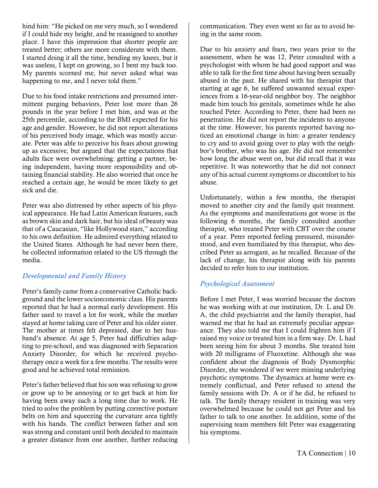hind him: "He picked on me very much, so I wondered if I could hide my height, and be reassigned to another place. I have this impression that shorter people are treated better; others are more considerate with them. I started doing it all the time, bending my knees, but it was useless, I kept on growing, so I bent my back too. My parents scorned me, but never asked what was happening to me, and I never told them."

Due to his food intake restrictions and presumed intermittent purging behaviors, Peter lost more than 26 pounds in the year before I met him, and was at the 25th percentile, according to the BMI expected for his age and gender. However, he did not report alterations of his perceived body image, which was mostly accurate. Peter was able to perceive his fears about growing up as excessive, but argued that the expectations that adults face were overwhelming: getting a partner, being independent, having more responsibility and obtaining financial stability. He also worried that once he reached a certain age, he would be more likely to get sick and die.

Peter was also distressed by other aspects of his physical appearance. He had Latin American features, such as brown skin and dark hair, but his ideal of beauty was that of a Caucasian, "like Hollywood stars," according to his own definition. He admired everything related to the United States. Although he had never been there, he collected information related to the US through the media.

#### *Developmental and Family History*

Peter's family came from a conservative Catholic background and the lower socioeconomic class. His parents reported that he had a normal early development. His father used to travel a lot for work, while the mother stayed at home taking care of Peter and his older sister. The mother at times felt depressed, due to her husband's absence. At age 5, Peter had difficulties adapting to pre-school, and was diagnosed with Separation Anxiety Disorder, for which he received psychotherapy once a week for a few months. The results were good and he achieved total remission.

Peter's father believed that his son was refusing to grow or grow up to be annoying or to get back at him for having been away such a long time due to work. He tried to solve the problem by putting corrective posture belts on him and squeezing the curvature area tightly with his hands. The conflict between father and son was strong and constant until both decided to maintain a greater distance from one another, further reducing

communication. They even went so far as to avoid being in the same room.

Due to his anxiety and fears, two years prior to the assessment, when he was 12, Peter consulted with a psychologist with whom he had good rapport and was able to talk for the first time about having been sexually abused in the past. He shared with his therapist that starting at age 6, he suffered unwanted sexual experiences from a 16-year-old neighbor boy. The neighbor made him touch his genitals, sometimes while he also touched Peter. According to Peter, there had been no penetration. He did not report the incidents to anyone at the time. However, his parents reported having noticed an emotional change in him: a greater tendency to cry and to avoid going over to play with the neighbor's brother, who was his age. He did not remember how long the abuse went on, but did recall that it was repetitive. It was noteworthy that he did not connect any of his actual current symptoms or discomfort to his abuse.

Unfortunately, within a few months, the therapist moved to another city and the family quit treatment. As the symptoms and manifestations got worse in the following 6 months, the family consulted another therapist, who treated Peter with CBT over the course of a year. Peter reported feeling pressured, misunderstood, and even humiliated by this therapist, who described Peter as arrogant, as he recalled. Because of the lack of change, his therapist along with his parents decided to refer him to our institution.

#### *Psychological Assessment*

Before I met Peter, I was worried because the doctors he was working with at our institution, Dr. L and Dr. A, the child psychiatrist and the family therapist, had warned me that he had an extremely peculiar appearance. They also told me that I could frighten him if I raised my voice or treated him in a firm way. Dr. L had been seeing him for about 3 months. She treated him with 20 milligrams of Fluoxetine. Although she was confident about the diagnosis of Body Dysmorphic Disorder, she wondered if we were missing underlying psychotic symptoms. The dynamics at home were extremely conflictual, and Peter refused to attend the family sessions with Dr. A or if he did, he refused to talk. The family therapy resident in training was very overwhelmed because he could not get Peter and his father to talk to one another. In addition, some of the supervising team members felt Peter was exaggerating his symptoms.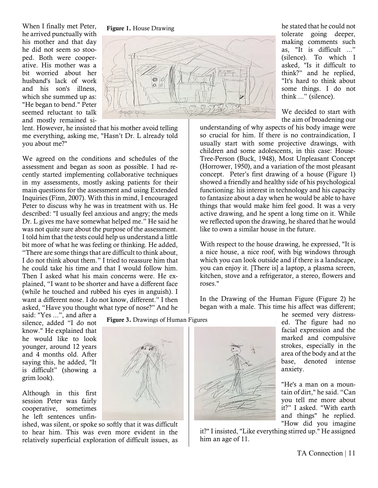When I finally met Peter, he arrived punctually with his mother and that day he did not seem so stooped. Both were cooperative. His mother was a bit worried about her husband's lack of work and his son's illness, which she summed up as: "He began to bend." Peter seemed reluctant to talk and mostly remained si-





lent. However, he insisted that his mother avoid telling me everything, asking me, "Hasn't Dr. L already told you about me?"

We agreed on the conditions and schedules of the assessment and began as soon as possible. I had recently started implementing collaborative techniques in my assessments, mostly asking patients for their main questions for the assessment and using Extended Inquiries (Finn, 2007). With this in mind, I encouraged Peter to discuss why he was in treatment with us. He described: "I usually feel anxious and angry; the meds Dr. L gives me have somewhat helped me." He said he was not quite sure about the purpose of the assessment. I told him that the tests could help us understand a little bit more of what he was feeling or thinking. He added, "There are some things that are difficult to think about, I do not think about them." I tried to reassure him that he could take his time and that I would follow him. Then I asked what his main concerns were. He explained, "I want to be shorter and have a different face (while he touched and rubbed his eyes in anguish). I want a different nose. I do not know, different." I then asked, "Have you thought what type of nose?" And he

said: "Yes ...", and after a silence, added "I do not know." He explained that he would like to look younger, around 12 years and 4 months old. After saying this, he added, "It is difficult" (showing a grim look).

Although in this first session Peter was fairly cooperative, sometimes he left sentences unfin-

ished, was silent, or spoke so softly that it was difficult to hear him. This was even more evident in the relatively superficial exploration of difficult issues, as



"It's hard to think about some things. I do not think ..." (silence). We decided to start with the aim of broadening our understanding of why aspects of his body image were

so crucial for him. If there is no contraindication, I usually start with some projective drawings, with children and some adolescents, in this case: House-Tree-Person (Buck, 1948), Most Unpleasant Concept (Horrower, 1950), and a variation of the most pleasant concept. Peter's first drawing of a house (Figure 1) showed a friendly and healthy side of his psychological functioning: his interest in technology and his capacity to fantasize about a day when he would be able to have things that would make him feel good. It was a very active drawing, and he spent a long time on it. While we reflected upon the drawing, he shared that he would like to own a similar house in the future.

With respect to the house drawing, he expressed, "It is a nice house, a nice roof, with big windows through which you can look outside and if there is a landscape, you can enjoy it. [There is] a laptop, a plasma screen, kitchen, stove and a refrigerator, a stereo, flowers and roses."

In the Drawing of the Human Figure (Figure 2) he began with a male. This time his affect was different;



it?" I insisted, "Like everything stirred up." He assigned him an age of 11.

ed. The figure had no facial expression and the marked and compulsive strokes, especially in the area of the body and at the base, denoted intense anxiety.

he seemed very distress-

he stated that he could not tolerate going deeper, making comments such as, "It is difficult ..." (silence). To which I asked, "Is it difficult to think?" and he replied,

"He's a man on a mountain of dirt," he said. "Can you tell me more about it?" I asked. "With earth and things" he replied. "How did you imagine

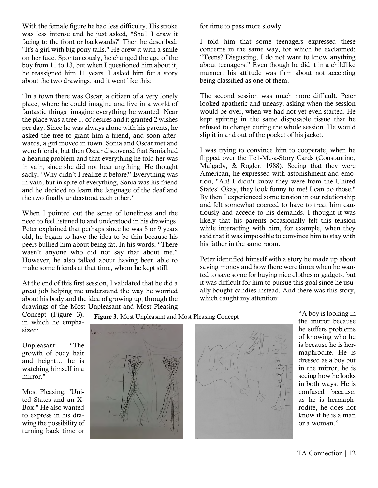With the female figure he had less difficulty. His stroke was less intense and he just asked, "Shall I draw it facing to the front or backwards?" Then he described: "It's a girl with big pony tails." He drew it with a smile on her face. Spontaneously, he changed the age of the boy from 11 to 13, but when I questioned him about it, he reassigned him 11 years. I asked him for a story about the two drawings, and it went like this:

"In a town there was Oscar, a citizen of a very lonely place, where he could imagine and live in a world of fantastic things, imagine everything he wanted. Near the place was a tree ... of desires and it granted 2 wishes per day. Since he was always alone with his parents, he asked the tree to grant him a friend, and soon afterwards, a girl moved in town. Sonia and Oscar met and were friends, but then Oscar discovered that Sonia had a hearing problem and that everything he told her was in vain, since she did not hear anything. He thought sadly, 'Why didn't I realize it before?' Everything was in vain, but in spite of everything, Sonia was his friend and he decided to learn the language of the deaf and the two finally understood each other."

When I pointed out the sense of loneliness and the need to feel listened to and understood in his drawings, Peter explained that perhaps since he was 8 or 9 years old, he began to have the idea to be thin because his peers bullied him about being fat. In his words, "There wasn't anyone who did not say that about me." However, he also talked about having been able to make some friends at that time, whom he kept still.

At the end of this first session, I validated that he did a great job helping me understand the way he worried about his body and the idea of growing up, through the drawings of the Most Unpleasant and Most Pleasing

for time to pass more slowly.

I told him that some teenagers expressed these concerns in the same way, for which he exclaimed: "Teens? Disgusting, I do not want to know anything about teenagers." Even though he did it in a childlike manner, his attitude was firm about not accepting being classified as one of them.

The second session was much more difficult. Peter looked apathetic and uneasy, asking when the session would be over, when we had not yet even started. He kept spitting in the same disposable tissue that he refused to change during the whole session. He would slip it in and out of the pocket of his jacket.

I was trying to convince him to cooperate, when he flipped over the Tell-Me-a-Story Cards (Constantino, Malgady, & Rogler, 1988). Seeing that they were American, he expressed with astonishment and emotion, "Ah! I didn't know they were from the United States! Okay, they look funny to me! I can do those." By then I experienced some tension in our relationship and felt somewhat coerced to have to treat him cautiously and accede to his demands. I thought it was likely that his parents occasionally felt this tension while interacting with him, for example, when they said that it was impossible to convince him to stay with his father in the same room.

Peter identified himself with a story he made up about saving money and how there were times when he wanted to save some for buying nice clothes or gadgets, but it was difficult for him to pursue this goal since he usually bought candies instead. And there was this story, which caught my attention:

Concept (Figure 3), in which he emphasized:

Unpleasant: "The growth of body hair and height… he is watching himself in a mirror."

Most Pleasing: "United States and an X-Box." He also wanted to express in his drawing the possibility of turning back time or



Figure 3. Most Unpleasant and Most Pleasing Concept



"A boy is looking in the mirror because he suffers problems of knowing who he is because he is hermaphrodite. He is dressed as a boy but in the mirror, he is seeing how he looks in both ways. He is confused because, as he is hermaphrodite, he does not know if he is a man or a woman."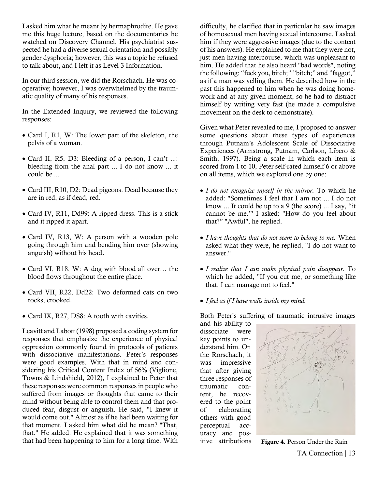I asked him what he meant by hermaphrodite. He gave me this huge lecture, based on the documentaries he watched on Discovery Channel. His psychiatrist suspected he had a diverse sexual orientation and possibly gender dysphoria; however, this was a topic he refused to talk about, and I left it as Level 3 Information.

In our third session, we did the Rorschach. He was cooperative; however, I was overwhelmed by the traumatic quality of many of his responses.

In the Extended Inquiry, we reviewed the following responses:

- Card I, R1, W: The lower part of the skeleton, the pelvis of a woman.
- Card II, R5, D3: Bleeding of a person, I can't ...: bleeding from the anal part ... I do not know ... it could be ...
- Card III, R10, D2: Dead pigeons. Dead because they are in red, as if dead, red.
- Card IV, R11, Dd99: A ripped dress. This is a stick and it ripped it apart.
- Card IV, R13, W: A person with a wooden pole going through him and bending him over (showing anguish) without his head*.*
- Card VI, R18, W: A dog with blood all over… the blood flows throughout the entire place.
- Card VII, R22, Dd22: Two deformed cats on two rocks, crooked.
- Card IX, R27, DS8: A tooth with cavities.

Leavitt and Labott (1998) proposed a coding system for responses that emphasize the experience of physical oppression commonly found in protocols of patients with dissociative manifestations. Peter's responses were good examples. With that in mind and considering his Critical Content Index of 56% (Viglione, Towns & Lindshield, 2012), I explained to Peter that these responses were common responses in people who suffered from images or thoughts that came to their mind without being able to control them and that produced fear, disgust or anguish. He said, "I knew it would come out." Almost as if he had been waiting for that moment. I asked him what did he mean? "That, that." He added. He explained that it was something that had been happening to him for a long time. With

difficulty, he clarified that in particular he saw images of homosexual men having sexual intercourse. I asked him if they were aggressive images (due to the content of his answers). He explained to me that they were not, just men having intercourse, which was unpleasant to him. He added that he also heard "bad words", noting the following: "fuck you, bitch;" "bitch;" and "faggot," as if a man was yelling them. He described how in the past this happened to him when he was doing homework and at any given moment, so he had to distract himself by writing very fast (he made a compulsive movement on the desk to demonstrate).

Given what Peter revealed to me, I proposed to answer some questions about these types of experiences through Putnam's Adolescent Scale of Dissociative Experiences (Armstrong, Putnam, Carlson, Libero & Smith, 1997). Being a scale in which each item is scored from 1 to 10, Peter self-rated himself 6 or above on all items, which we explored one by one:

- *I do not recognize myself in the mirror*. To which he added: "Sometimes I feel that I am not ... I do not know ... It could be up to a 9 (the score) ... I say, "it cannot be me.'" I asked: "How do you feel about that?" "Awful", he replied.
- *I have thoughts that do not seem to belong to me.* When asked what they were, he replied, "I do not want to answer."
- *I realize that I can make physical pain disappear.* To which he added, "If you cut me, or something like that, I can manage not to feel."
- *I feel as if I have walls inside my mind.*

Both Peter's suffering of traumatic intrusive images

and his ability to dissociate were key points to understand him. On the Rorschach, it was impressive that after giving three responses of traumatic content, he recovered to the point of elaborating others with good perceptual accuracy and pos-



itive attributions Figure 4. Person Under the Rain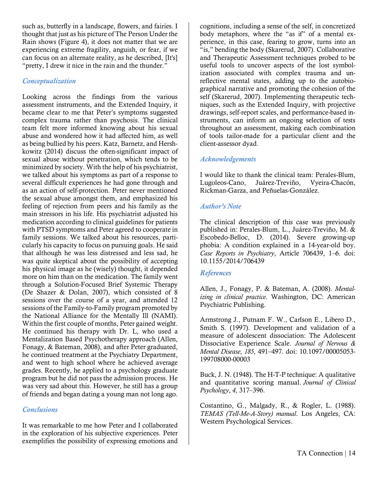such as, butterfly in a landscape, flowers, and fairies. I thought that just as his picture of The Person Under the Rain shows (Figure 4), it does not matter that we are experiencing extreme fragility, anguish, or fear, if we can focus on an alternate reality, as he described, [It's] "pretty, I drew it nice in the rain and the thunder."

#### *Conceptualization*

Looking across the findings from the various assessment instruments, and the Extended Inquiry, it became clear to me that Peter's symptoms suggested complex trauma rather than psychosis. The clinical team felt more informed knowing about his sexual abuse and wondered how it had affected him, as well as being bullied by his peers. Katz, Barnetz, and Hershkowitz (2014) discuss the often-significant impact of sexual abuse without penetration, which tends to be minimized by society. With the help of his psychiatrist, we talked about his symptoms as part of a response to several difficult experiences he had gone through and as an action of self-protection. Peter never mentioned the sexual abuse amongst them, and emphasized his feeling of rejection from peers and his family as the main stressors in his life. His psychiatrist adjusted his medication according to clinical guidelines for patients with PTSD symptoms and Peter agreed to cooperate in family sessions. We talked about his resources, particularly his capacity to focus on pursuing goals. He said that although he was less distressed and less sad, he was quite skeptical about the possibility of accepting his physical image as he (wisely) thought, it depended more on him than on the medication. The family went through a Solution-Focused Brief Systemic Therapy (De Shazer & Dolan, 2007), which consisted of 8 sessions over the course of a year, and attended 12 sessions of the Family-to-Family program promoted by the National Alliance for the Mentally Ill (NAMI). Within the first couple of months, Peter gained weight. He continued his therapy with Dr. L, who used a Mentalization Based Psychotherapy approach (Allen, Fonagy, & Bateman, 2008), and after Peter graduated, he continued treatment at the Psychiatry Department, and went to high school where he achieved average grades. Recently, he applied to a psychology graduate program but he did not pass the admission process. He was very sad about this. However, he still has a group of friends and began dating a young man not long ago.

#### *Conclusions*

It was remarkable to me how Peter and I collaborated in the exploration of his subjective experiences. Peter exemplifies the possibility of expressing emotions and

cognitions, including a sense of the self, in concretized body metaphors, where the "as if" of a mental experience, in this case, fearing to grow, turns into an "is," bending the body (Skarerud, 2007). Collaborative and Therapeutic Assessment techniques probed to be useful tools to uncover aspects of the lost symbolization associated with complex trauma and unreflective mental states, adding up to the autobiographical narrative and promoting the cohesion of the self (Skarerud, 2007). Implementing therapeutic techniques, such as the Extended Inquiry, with projective drawings, self-report scales, and performance-based instruments, can inform an ongoing selection of tests throughout an assessment, making each combination of tools tailor-made for a particular client and the client-assessor dyad.

#### *Acknowledgements*

I would like to thank the clinical team: Perales-Blum, Lugoleos-Cano, Juárez-Treviño, Vyeira-Chacón, Rickman-Garza, and Peñuelas-González.

#### *Author's Note*

The clinical description of this case was previously published in: Perales-Blum, L., Juárez-Treviño, M. & Escobedo-Belloc, D. (2014). Severe growing-up phobia: A condition explained in a 14-year-old boy. *Case Reports in Psychiatry*, Article 706439, 1–6. doi: 10.1155/2014/706439

#### *References*

Allen, J., Fonagy, P. & Bateman, A. (2008). *Mentalizing in clinical practice*. Washington, DC: American Psychiatric Publishing.

Armstrong J., Putnam F. W., Carlson E., Libero D., Smith S. (1997). Development and validation of a measure of adolescent dissociation: The Adolescent Dissociative Experience Scale. *Journal of Nervous & Mental Disease*, *185*, 491–497. doi: 10.1097/00005053- 199708000-00003

Buck, J. N. (1948). The H-T-P technique: A qualitative and quantitative scoring manual. *Journal of Clinical Psychology*, *4*, 317–396.

Costantino, G., Malgady, R., & Rogler, L. (1988). *TEMAS (Tell-Me-A-Story) manual*. Los Angeles, CA: Western Psychological Services.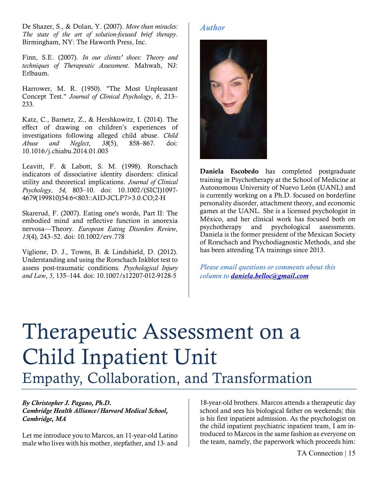De Shazer, S., & Dolan, Y. (2007). *More than miracles: The state of the art of solution-focused brief therapy*. Birmingham, NY: The Haworth Press, Inc.

Finn, S.E. (2007). *In our clients' shoes: Theory and techniques of Therapeutic Assessment*. Mahwah, NJ: Erlbaum.

Harrower, M. R. (1950). "The Most Unpleasant Concept Test." *Journal of Clinical Psychology*, *6*, 213– 233.

Katz, C., Barnetz, Z., & Hershkowitz, I. (2014). The effect of drawing on children's experiences of investigations following alleged child abuse. *Child Abuse and Neglect*, *38*(5), 858–867. doi: 10.1016/j.chiabu.2014.01.003

Leavitt, F. & Labott, S. M. (1998). Rorschach indicators of dissociative identity disorders: clinical utility and theoretical implications. *Journal of Clinical Psychology*, *54,* 803–10. doi: 10.1002/(SICI)1097- 4679(199810)54:6<803::AID-JCLP7>3.0.CO;2-H

Skarerud, F. (2007). Eating one's words, Part II: The embodied mind and reflective function in anorexia nervosa—Theory. *European Eating Disorders Review*, *15*(4)*,* 243–52. doi: 10.1002/erv.778

Viglione, D. J., Towns, B. & Lindshield, D. (2012). Understanding and using the Rorschach Inkblot test to assess post-traumatic conditions. *Psychological Injury and Law*, *5*, 135–144. doi: 10.1007/s12207-012-9128-5

#### *Author*



Daniela Escobedo has completed postgraduate training in Psychotherapy at the School of Medicine at Autonomous University of Nuevo León (UANL) and is currently working on a Ph.D. focused on borderline personality disorder, attachment theory, and economic games at the UANL. She is a licensed psychologist in México, and her clinical work has focused both on psychotherapy and psychological assessments. Daniela is the former president of the Mexican Society of Rorschach and Psychodiagnostic Methods, and she has been attending TA trainings since 2013.

*Please email questions or comments about this column to daniela.belloc@gmail.com*

# Therapeutic Assessment on a Child Inpatient Unit Empathy, Collaboration, and Transformation

#### *By Christopher J. Pagano, Ph.D. Cambridge Health Alliance/Harvard Medical School, Cambridge, MA*

Let me introduce you to Marcos, an 11-year-old Latino male who lives with his mother, stepfather, and 13- and 18-year-old brothers. Marcos attends a therapeutic day school and sees his biological father on weekends; this is his first inpatient admission. As the psychologist on the child inpatient psychiatric inpatient team, I am introduced to Marcos in the same fashion as everyone on the team, namely, the paperwork which proceeds him: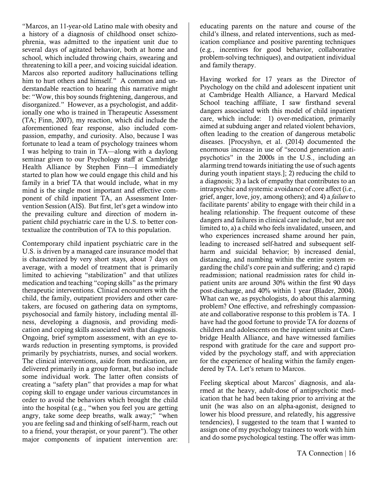"Marcos, an 11-year-old Latino male with obesity and a history of a diagnosis of childhood onset schizophrenia, was admitted to the inpatient unit due to several days of agitated behavior, both at home and school, which included throwing chairs, swearing and threatening to kill a peer, and voicing suicidal ideation. Marcos also reported auditory hallucinations telling him to hurt others and himself." A common and understandable reaction to hearing this narrative might be: "Wow, this boy sounds frightening, dangerous, and disorganized." However, as a psychologist, and additionally one who is trained in Therapeutic Assessment (TA; Finn, 2007), my reaction, which did include the aforementioned fear response, also included compassion, empathy, and curiosity. Also, because I was fortunate to lead a team of psychology trainees whom I was helping to train in TA—along with a daylong seminar given to our Psychology staff at Cambridge Health Alliance by Stephen Finn—I immediately started to plan how we could engage this child and his family in a brief TA that would include, what in my mind is the single most important and effective component of child inpatient TA, an Assessment Intervention Session (AIS). But first, let's get a window into the prevailing culture and direction of modern inpatient child psychiatric care in the U.S. to better contextualize the contribution of TA to this population.

Contemporary child inpatient psychiatric care in the U.S. is driven by a managed care insurance model that is characterized by very short stays, about 7 days on average, with a model of treatment that is primarily limited to achieving "stabilization" and that utilizes medication and teaching "coping skills" as the primary therapeutic interventions. Clinical encounters with the child, the family, outpatient providers and other caretakers, are focused on gathering data on symptoms, psychosocial and family history, including mental illness, developing a diagnosis, and providing medication and coping skills associated with that diagnosis. Ongoing, brief symptom assessment, with an eye towards reduction in presenting symptoms, is provided primarily by psychiatrists, nurses, and social workers. The clinical interventions, aside from medication, are delivered primarily in a group format, but also include some individual work. The latter often consists of creating a "safety plan" that provides a map for what coping skill to engage under various circumstances in order to avoid the behaviors which brought the child into the hospital (e.g., "when you feel you are getting angry, take some deep breaths, walk away;" "when you are feeling sad and thinking of self-harm, reach out to a friend, your therapist, or your parent"). The other major components of inpatient intervention are:

educating parents on the nature and course of the child's illness, and related interventions, such as medication compliance and positive parenting techniques (e.g., incentives for good behavior, collaborative problem-solving techniques), and outpatient individual and family therapy.

Having worked for 17 years as the Director of Psychology on the child and adolescent inpatient unit at Cambridge Health Alliance, a Harvard Medical School teaching affiliate, I saw firsthand several dangers associated with this model of child inpatient care, which include: 1) over-medication, primarily aimed at subduing anger and related violent behaviors, often leading to the creation of dangerous metabolic diseases. [Procyshyn, et al. (2014) documented the enormous increase in use of "second generation antipsychotics" in the 2000s in the U.S., including an alarming trend towards initiating the use of such agents during youth inpatient stays.]; 2) reducing the child to a diagnosis; 3) a lack of empathy that contributes to an intrapsychic and systemic avoidance of core affect (i.e., grief, anger, love, joy, among others); and 4) a *failure* to facilitate parents' ability to engage with their child in a healing relationship. The frequent outcome of these dangers and failures in clinical care include, but are not limited to, a) a child who feels invalidated, unseen, and who experiences increased shame around her pain, leading to increased self-hatred and subsequent selfharm and suicidal behavior; b) increased denial, distancing, and numbing within the entire system regarding the child's core pain and suffering; and c) rapid readmission; national readmission rates for child inpatient units are around 30% within the first 90 days post-discharge, and 40% within 1 year (Blader, 2004). What can we, as psychologists, do about this alarming problem? One effective, and refreshingly compassionate and collaborative response to this problem is TA. I have had the good fortune to provide TA for dozens of children and adolescents on the inpatient units at Cambridge Health Alliance, and have witnessed families respond with gratitude for the care and support provided by the psychology staff, and with appreciation for the experience of healing within the family engendered by TA. Let's return to Marcos.

Feeling skeptical about Marcos' diagnosis, and alarmed at the heavy, adult-dose of antipsychotic medication that he had been taking prior to arriving at the unit (he was also on an alpha-agonist, designed to lower his blood pressure, and relatedly, his aggressive tendencies), I suggested to the team that I wanted to assign one of my psychology trainees to work with him and do some psychological testing. The offer was imm-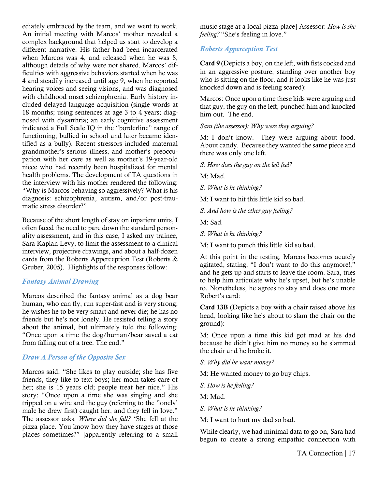ediately embraced by the team, and we went to work. An initial meeting with Marcos' mother revealed a complex background that helped us start to develop a different narrative. His father had been incarcerated when Marcos was 4, and released when he was 8, although details of why were not shared. Marcos' difficulties with aggressive behaviors started when he was 4 and steadily increased until age 9, when he reported hearing voices and seeing visions, and was diagnosed with childhood onset schizophrenia. Early history included delayed language acquisition (single words at 18 months; using sentences at age 3 to 4 years; diagnosed with dysarthria; an early cognitive assessment indicated a Full Scale IQ in the "borderline" range of functioning; bullied in school and later became identified as a bully). Recent stressors included maternal grandmother's serious illness, and mother's preoccupation with her care as well as mother's 19-year-old niece who had recently been hospitalized for mental health problems. The development of TA questions in the interview with his mother rendered the following: "Why is Marcos behaving so aggressively? What is his diagnosis: schizophrenia, autism, and/or post-traumatic stress disorder?"

Because of the short length of stay on inpatient units, I often faced the need to pare down the standard personality assessment, and in this case, I asked my trainee, Sara Kaplan-Levy, to limit the assessment to a clinical interview, projective drawings, and about a half-dozen cards from the Roberts Apperception Test (Roberts & Gruber, 2005). Highlights of the responses follow:

#### *Fantasy Animal Drawing*

Marcos described the fantasy animal as a dog bear human, who can fly, run super-fast and is very strong; he wishes he to be very smart and never die; he has no friends but he's not lonely. He resisted telling a story about the animal, but ultimately told the following: "Once upon a time the dog/human/bear saved a cat from falling out of a tree. The end."

#### *Draw A Person of the Opposite Sex*

Marcos said, "She likes to play outside; she has five friends, they like to text boys; her mom takes care of her; she is 15 years old; people treat her nice." His story: "Once upon a time she was singing and she tripped on a wire and the guy (referring to the 'lonely' male he drew first) caught her, and they fell in love." The assessor asks, *Where did she fall? "*She fell at the pizza place. You know how they have stages at those places sometimes?" [apparently referring to a small

music stage at a local pizza place] Assessor: *How is she feeling?* "She's feeling in love."

#### *Roberts Apperception Test*

Card 9 (Depicts a boy, on the left, with fists cocked and in an aggressive posture, standing over another boy who is sitting on the floor, and it looks like he was just knocked down and is feeling scared):

Marcos: Once upon a time these kids were arguing and that guy, the guy on the left, punched him and knocked him out. The end.

*Sara (the assessor): Why were they arguing?*

M: I don't know. They were arguing about food. About candy. Because they wanted the same piece and there was only one left.

*S: How does the guy on the left feel?*

M: Mad.

*S: What is he thinking?*

M: I want to hit this little kid so bad.

*S: And how is the other guy feeling?*

M: Sad.

*S: What is he thinking?*

M: I want to punch this little kid so bad.

At this point in the testing, Marcos becomes acutely agitated, stating, "I don't want to do this anymore!," and he gets up and starts to leave the room. Sara, tries to help him articulate why he's upset, but he's unable to. Nonetheless, he agrees to stay and does one more Robert's card:

Card 13B (Depicts a boy with a chair raised above his head, looking like he's about to slam the chair on the ground):

M: Once upon a time this kid got mad at his dad because he didn't give him no money so he slammed the chair and he broke it.

*S: Why did he want money?*

M: He wanted money to go buy chips.

*S: How is he feeling?*

M: Mad.

*S: What is he thinking?*

M: I want to hurt my dad so bad.

While clearly, we had minimal data to go on, Sara had begun to create a strong empathic connection with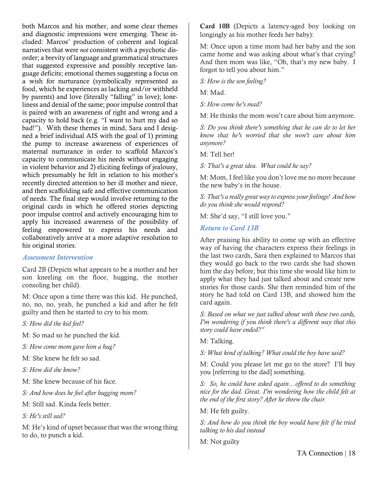both Marcos and his mother, and some clear themes and diagnostic impressions were emerging. These included: Marcos' production of coherent and logical narratives that were *not* consistent with a psychotic disorder; a brevity of language and grammatical structures that suggested expressive and possibly receptive language deficits; emotional themes suggesting a focus on a wish for nurturance (symbolically represented as food, which he experiences as lacking and/or withheld by parents) and love (literally "falling" in love); loneliness and denial of the same; poor impulse control that is paired with an awareness of right and wrong and a capacity to hold back (e.g. "I want to hurt my dad so bad!"). With these themes in mind, Sara and I designed a brief individual AIS with the goal of 1) priming the pump to increase awareness of experiences of maternal nurturance in order to scaffold Marcos's capacity to communicate his needs without engaging in violent behavior and 2) eliciting feelings of jealousy, which presumably he felt in relation to his mother's recently directed attention to her ill mother and niece, and then scaffolding safe and effective communication of needs. The final step would involve returning to the original cards in which he offered stories depicting poor impulse control and actively encouraging him to apply his increased awareness of the possibility of feeling empowered to express his needs and collaboratively arrive at a more adaptive resolution to his original stories.

#### *Assessment Intervention*

Card 2B (Depicts what appears to be a mother and her son kneeling on the floor, hugging, the mother consoling her child).

M: Once upon a time there was this kid. He punched, no, no, no, yeah, he punched a kid and after he felt guilty and then he started to cry to his mom.

*S: How did the kid feel?*

M: So mad so he punched the kid.

*S: How come mom gave him a hug?*

M: She knew he felt so sad.

*S: How did she know?*

M: She knew because of his face.

*S: And how does he feel after hugging mom?*

M: Still sad. Kinda feels better.

*S: He's still sad?*

M: He's kind of upset because that was the wrong thing to do, to punch a kid.

Card 10B (Depicts a latency-aged boy looking on longingly as his mother feeds her baby):

M: Once upon a time mom had her baby and the son came home and was asking about what's that crying? And then mom was like, "Oh, that's my new baby. I forgot to tell you about him."

*S: How is the son feeling?*

M: Mad.

*S: How come he's mad?*

M: He thinks the mom won't care about him anymore.

*S: Do you think there's something that he can do to let her know that he's worried that she won't care about him anymore?*

M: Tell her!

*S: That's a great idea. What could he say?*

M: Mom, I feel like you don't love me no more because the new baby's in the house.

*S: That's a really great way to express your feelings! And how do you think she would respond?*

M: She'd say, "I still love you."

#### *Return to Card 13B*

After praising his ability to come up with an effective way of having the characters express their feelings in the last two cards, Sara then explained to Marcos that they would go back to the two cards she had shown him the day before, but this time she would like him to apply what they had just talked about and create new stories for those cards. She then reminded him of the story he had told on Card 13B, and showed him the card again.

*S: Based on what we just talked about with these two cards, I'm wondering if you think there's a different way that this story could have ended?"* 

M: Talking.

*S: What kind of talking? What could the boy have said?*

M: Could you please let me go to the store? I'll buy you [referring to the dad] something*.*

*S: So, he could have asked again…offered to do something nice for the dad. Great. I'm wondering how the child felt at the end of the first story? After he threw the chair.* 

M: He felt guilty*.*

*S: And how do you think the boy would have felt if he tried talking to his dad instead*

M: Not guilty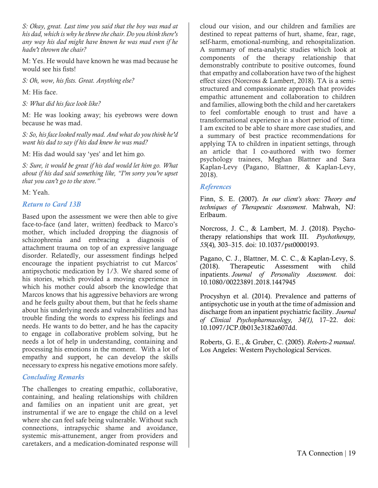*S: Okay, great. Last time you said that the boy was mad at his dad, which is why he threw the chair. Do you think there's any way his dad might have known he was mad even if he hadn't thrown the chair?*

M: Yes. He would have known he was mad because he would see his fists!

*S: Oh, wow, his fists. Great. Anything else?*

M: His face.

*S: What did his face look like?*

M: He was looking away; his eyebrows were down because he was mad.

*S: So, his face looked really mad. And what do you think he'd want his dad to say if his dad knew he was mad?* 

M: His dad would say 'yes' and let him go*.*

*S: Sure, it would be great if his dad would let him go. What about if his dad said something like, "I'm sorry you're upset that you can't go to the store."*

M: Yeah.

#### *Return to Card 13B*

Based upon the assessment we were then able to give face-to-face (and later, written) feedback to Marco's mother, which included dropping the diagnosis of schizophrenia and embracing a diagnosis of attachment trauma on top of an expressive language disorder. Relatedly, our assessment findings helped encourage the inpatient psychiatrist to cut Marcos' antipsychotic medication by 1/3. We shared some of his stories, which provided a moving experience in which his mother could absorb the knowledge that Marcos knows that his aggressive behaviors are wrong and he feels guilty about them, but that he feels shame about his underlying needs and vulnerabilities and has trouble finding the words to express his feelings and needs. He wants to do better, and he has the capacity to engage in collaborative problem solving, but he needs a lot of help in understanding, containing and processing his emotions in the moment. With a lot of empathy and support, he can develop the skills necessary to express his negative emotions more safely.

#### *Concluding Remarks*

The challenges to creating empathic, collaborative, containing, and healing relationships with children and families on an inpatient unit are great, yet instrumental if we are to engage the child on a level where she can feel safe being vulnerable. Without such connections, intrapsychic shame and avoidance, systemic mis-attunement, anger from providers and caretakers, and a medication-dominated response will

cloud our vision, and our children and families are destined to repeat patterns of hurt, shame, fear, rage, self-harm, emotional-numbing, and rehospitalization. A summary of meta-analytic studies which look at components of the therapy relationship that demonstrably contribute to positive outcomes, found that empathy and collaboration have two of the highest effect sizes (Norcross & Lambert, 2018). TA is a semistructured and compassionate approach that provides empathic attunement and collaboration to children and families, allowing both the child and her caretakers to feel comfortable enough to trust and have a transformational experience in a short period of time. I am excited to be able to share more case studies, and a summary of best practice recommendations for applying TA to children in inpatient settings, through an article that I co-authored with two former psychology trainees, Meghan Blattner and Sara Kaplan-Levy (Pagano, Blattner, & Kaplan-Levy, 2018).

#### *References*

Finn, S. E. (2007). *In our client's shoes: Theory and techniques of Therapeutic Assessment*. Mahwah, NJ: Erlbaum.

Norcross, J. C., & Lambert, M. J. (2018). Psychotherapy relationships that work III. *Psychotherapy, 55*(4)*,* 303–315. doi: 10.1037/pst0000193.

Pagano, C. J., Blattner, M. C. C., & Kaplan-Levy, S. (2018). Therapeutic Assessment with child inpatients. *Journal of Personality Assessment.* doi: 10.1080/00223891.2018.1447945

Procyshyn et al. (2014). Prevalence and patterns of antipsychotic use in youth at the time of admission and discharge from an inpatient psychiatric facility. *Journal of Clinical Psychopharmacology, 34(1),* 17–22. doi: 10.1097/JCP.0b013e3182a607dd.

Roberts, G. E., & Gruber, C. (2005). *Roberts-2 manual*. Los Angeles: Western Psychological Services.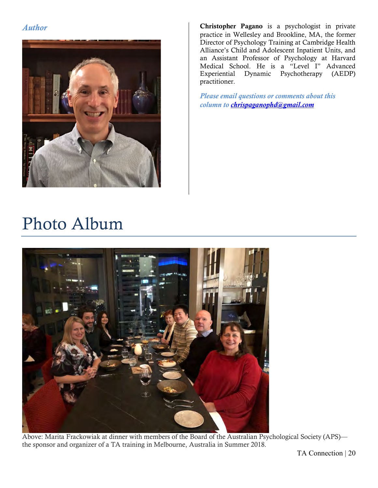

*Author* **Christopher Pagano** is a psychologist in private practice in Wellesley and Brookline, MA, the former Director of Psychology Training at Cambridge Health Alliance's Child and Adolescent Inpatient Units, and an Assistant Professor of Psychology at Harvard Medical School. He is a "Level I" Advanced Experiential Dynamic Psychotherapy (AEDP) practitioner.

> *Please email questions or comments about this column to chrispaganophd@gmail.com*

### Photo Album



Above: Marita Frackowiak at dinner with members of the Board of the Australian Psychological Society (APS) the sponsor and organizer of a TA training in Melbourne, Australia in Summer 2018.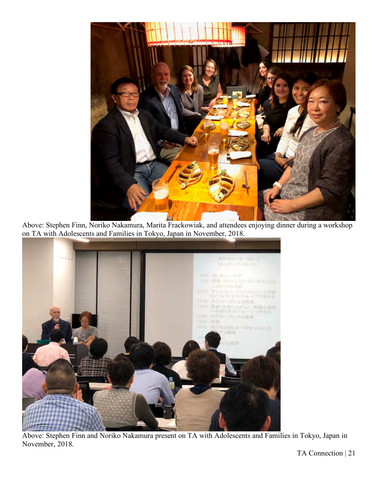

Above: Stephen Finn, Noriko Nakamura, Marita Frackowiak, and attendees enjoying dinner during a workshop on TA with Adolescents and Families in Tokyo, Japan in November, 2018.



Above: Stephen Finn and Noriko Nakamura present on TA with Adolescents and Families in Tokyo, Japan in November, 2018.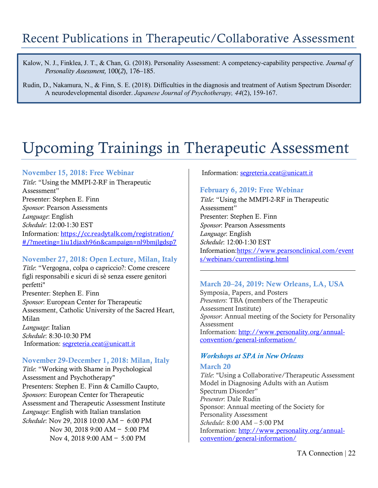Kalow, N. J., Finklea, J. T., & Chan, G. (2018). Personality Assessment: A competency-capability perspective. *Journal of Personality Assessment,* 100(*2*), 176–185.

Rudin, D., Nakamura, N., & Finn, S. E. (2018). Difficulties in the diagnosis and treatment of Autism Spectrum Disorder: A neurodevelopmental disorder. *Japanese Journal of Psychotherapy, 44*(2), 159-167.

### Upcoming Trainings in Therapeutic Assessment

#### November 15, 2018: Free Webinar

*Title*: "Using the MMPI-2-RF in Therapeutic Assessment" Presenter: Stephen E. Finn *Sponsor*: Pearson Assessments *Language*: English *Schedule*: 12:00-1:30 EST Information: https://cc.readytalk.com/registration/ #/?meeting=1iu1djaxh96n&campaign=nl9bmjlgdsp7

#### November 27, 2018: Open Lecture, Milan, Italy

*Title*: "Vergogna, colpa o capriccio?: Come crescere figli responsabili e sicuri di sè senza essere genitori perfetti" Presenter: Stephen E. Finn *Sponsor*: European Center for Therapeutic Assessment, Catholic University of the Sacred Heart, Milan *Language*: Italian

*Schedule*: 8:30-10:30 PM Information: segreteria.ceat@unicatt.it

#### November 29-December 1, 2018: Milan, Italy

*Title*: "Working with Shame in Psychological Assessment and Psychotherapy" Presenters: Stephen E. Finn & Camillo Caupto, *Sponsors*: European Center for Therapeutic Assessment and Therapeutic Assessment Institute *Language*: English with Italian translation *Schedule*: Nov 29, 2018 10:00 AM — 6:00 PM Nov 30, 2018 9:00 AM — 5:00 PM Nov 4, 2018 9:00 AM — 5:00 PM

#### Information: segreteria.ceat@unicatt.it

#### February 6, 2019: Free Webinar

*Title*: "Using the MMPI-2-RF in Therapeutic Assessment" Presenter: Stephen E. Finn *Sponsor*: Pearson Assessments *Language*: English *Schedule*: 12:00-1:30 EST Information:https://www.pearsonclinical.com/event s/webinars/currentlisting.html

#### March 20–24, 2019: New Orleans, LA, USA

Symposia, Papers, and Posters *Presenters*: TBA (members of the Therapeutic Assessment Institute) *Sponsor*: Annual meeting of the Society for Personality Assessment Information: http://www.personality.org/annualconvention/general-information/

#### *Workshops at SPA in New Orleans*

#### March 20

*Title*: "Using a Collaborative/Therapeutic Assessment Model in Diagnosing Adults with an Autism Spectrum Disorder" *Presenter*: Dale Rudin Sponsor: Annual meeting of the Society for Personality Assessment *Schedule*: 8:00 AM – 5:00 PM Information: http://www.personality.org/annualconvention/general-information/